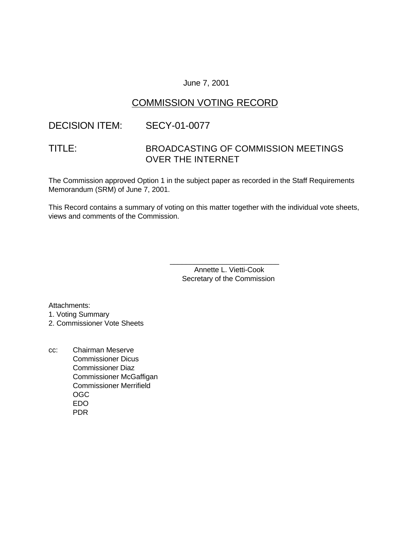### June 7, 2001

# COMMISSION VOTING RECORD

### DECISION ITEM: SECY-01-0077

# TITLE: BROADCASTING OF COMMISSION MEETINGS OVER THE INTERNET

The Commission approved Option 1 in the subject paper as recorded in the Staff Requirements Memorandum (SRM) of June 7, 2001.

This Record contains a summary of voting on this matter together with the individual vote sheets, views and comments of the Commission.

> Annette L. Vietti-Cook Secretary of the Commission

\_\_\_\_\_\_\_\_\_\_\_\_\_\_\_\_\_\_\_\_\_\_\_\_\_\_\_

Attachments:

1. Voting Summary

2. Commissioner Vote Sheets

cc: Chairman Meserve Commissioner Dicus Commissioner Diaz Commissioner McGaffigan Commissioner Merrifield OGC EDO PDR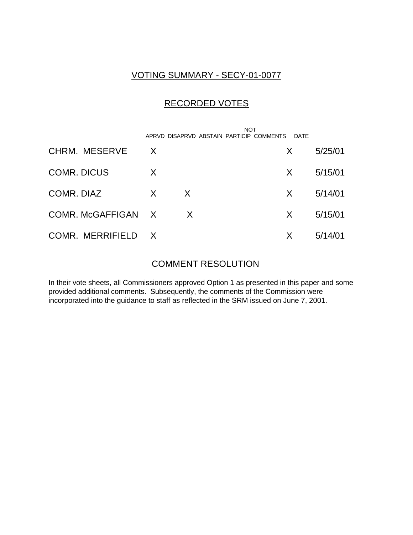# VOTING SUMMARY - SECY-01-0077

# RECORDED VOTES

|                    |              |    | APRVD DISAPRVD ABSTAIN PARTICIP COMMENTS | NOT |    | DATE |         |
|--------------------|--------------|----|------------------------------------------|-----|----|------|---------|
| CHRM. MESERVE      | $\mathsf{X}$ |    |                                          |     | X. |      | 5/25/01 |
| <b>COMR. DICUS</b> | $\times$     |    |                                          |     | X. |      | 5/15/01 |
| COMR, DIAZ         | X            | X  |                                          |     | X. |      | 5/14/01 |
| COMR. McGAFFIGAN X |              | X. |                                          |     | X. |      | 5/15/01 |
| COMR. MERRIFIELD X |              |    |                                          |     | X  |      | 5/14/01 |

### COMMENT RESOLUTION

In their vote sheets, all Commissioners approved Option 1 as presented in this paper and some provided additional comments. Subsequently, the comments of the Commission were incorporated into the guidance to staff as reflected in the SRM issued on June 7, 2001.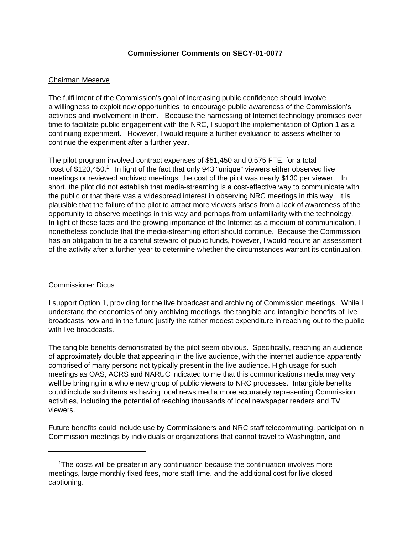#### **Commissioner Comments on SECY-01-0077**

### Chairman Meserve

The fulfillment of the Commission's goal of increasing public confidence should involve a willingness to exploit new opportunities to encourage public awareness of the Commission's activities and involvement in them. Because the harnessing of Internet technology promises over time to facilitate public engagement with the NRC, I support the implementation of Option 1 as a continuing experiment. However, I would require a further evaluation to assess whether to continue the experiment after a further year.

The pilot program involved contract expenses of \$51,450 and 0.575 FTE, for a total cost of \$120,450.<sup>1</sup> In light of the fact that only 943 "unique" viewers either observed live meetings or reviewed archived meetings, the cost of the pilot was nearly \$130 per viewer. In short, the pilot did not establish that media-streaming is a cost-effective way to communicate with the public or that there was a widespread interest in observing NRC meetings in this way. It is plausible that the failure of the pilot to attract more viewers arises from a lack of awareness of the opportunity to observe meetings in this way and perhaps from unfamiliarity with the technology. In light of these facts and the growing importance of the Internet as a medium of communication, I nonetheless conclude that the media-streaming effort should continue. Because the Commission has an obligation to be a careful steward of public funds, however, I would require an assessment of the activity after a further year to determine whether the circumstances warrant its continuation.

### Commissioner Dicus

I support Option 1, providing for the live broadcast and archiving of Commission meetings. While I understand the economies of only archiving meetings, the tangible and intangible benefits of live broadcasts now and in the future justify the rather modest expenditure in reaching out to the public with live broadcasts.

The tangible benefits demonstrated by the pilot seem obvious. Specifically, reaching an audience of approximately double that appearing in the live audience, with the internet audience apparently comprised of many persons not typically present in the live audience. High usage for such meetings as OAS, ACRS and NARUC indicated to me that this communications media may very well be bringing in a whole new group of public viewers to NRC processes. Intangible benefits could include such items as having local news media more accurately representing Commission activities, including the potential of reaching thousands of local newspaper readers and TV viewers.

Future benefits could include use by Commissioners and NRC staff telecommuting, participation in Commission meetings by individuals or organizations that cannot travel to Washington, and

<sup>&</sup>lt;sup>1</sup>The costs will be greater in any continuation because the continuation involves more meetings, large monthly fixed fees, more staff time, and the additional cost for live closed captioning.